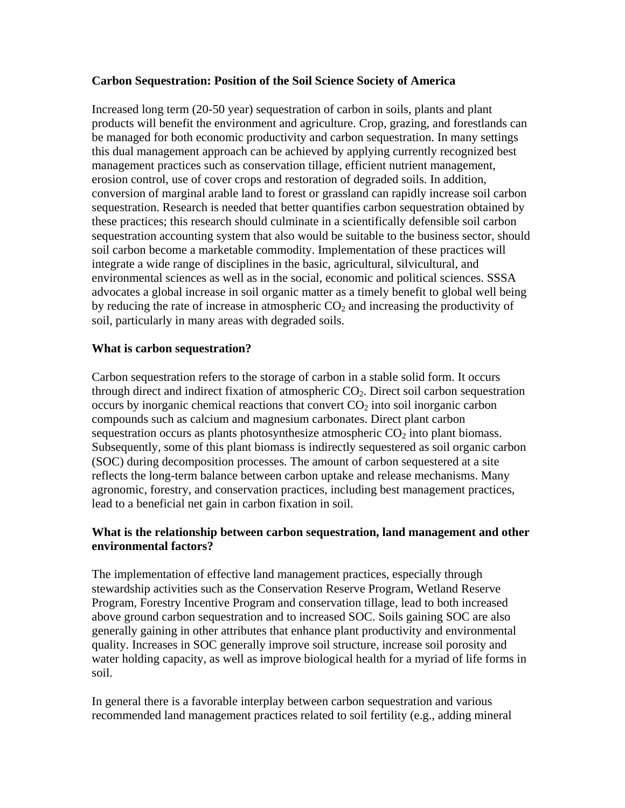### **Carbon Sequestration: Position of the Soil Science Society of America**

Increased long term (20-50 year) sequestration of carbon in soils, plants and plant products will benefit the environment and agriculture. Crop, grazing, and forestlands can be managed for both economic productivity and carbon sequestration. In many settings this dual management approach can be achieved by applying currently recognized best management practices such as conservation tillage, efficient nutrient management, erosion control, use of cover crops and restoration of degraded soils. In addition, conversion of marginal arable land to forest or grassland can rapidly increase soil carbon sequestration. Research is needed that better quantifies carbon sequestration obtained by these practices; this research should culminate in a scientifically defensible soil carbon sequestration accounting system that also would be suitable to the business sector, should soil carbon become a marketable commodity. Implementation of these practices will integrate a wide range of disciplines in the basic, agricultural, silvicultural, and environmental sciences as well as in the social, economic and political sciences. SSSA advocates a global increase in soil organic matter as a timely benefit to global well being by reducing the rate of increase in atmospheric  $CO<sub>2</sub>$  and increasing the productivity of soil, particularly in many areas with degraded soils.

# **What is carbon sequestration?**

Carbon sequestration refers to the storage of carbon in a stable solid form. It occurs through direct and indirect fixation of atmospheric  $CO<sub>2</sub>$ . Direct soil carbon sequestration occurs by inorganic chemical reactions that convert  $CO<sub>2</sub>$  into soil inorganic carbon compounds such as calcium and magnesium carbonates. Direct plant carbon sequestration occurs as plants photosynthesize atmospheric  $CO<sub>2</sub>$  into plant biomass. Subsequently, some of this plant biomass is indirectly sequestered as soil organic carbon (SOC) during decomposition processes. The amount of carbon sequestered at a site reflects the long-term balance between carbon uptake and release mechanisms. Many agronomic, forestry, and conservation practices, including best management practices, lead to a beneficial net gain in carbon fixation in soil.

# **What is the relationship between carbon sequestration, land management and other environmental factors?**

The implementation of effective land management practices, especially through stewardship activities such as the Conservation Reserve Program, Wetland Reserve Program, Forestry Incentive Program and conservation tillage, lead to both increased above ground carbon sequestration and to increased SOC. Soils gaining SOC are also generally gaining in other attributes that enhance plant productivity and environmental quality. Increases in SOC generally improve soil structure, increase soil porosity and water holding capacity, as well as improve biological health for a myriad of life forms in soil.

In general there is a favorable interplay between carbon sequestration and various recommended land management practices related to soil fertility (e.g., adding mineral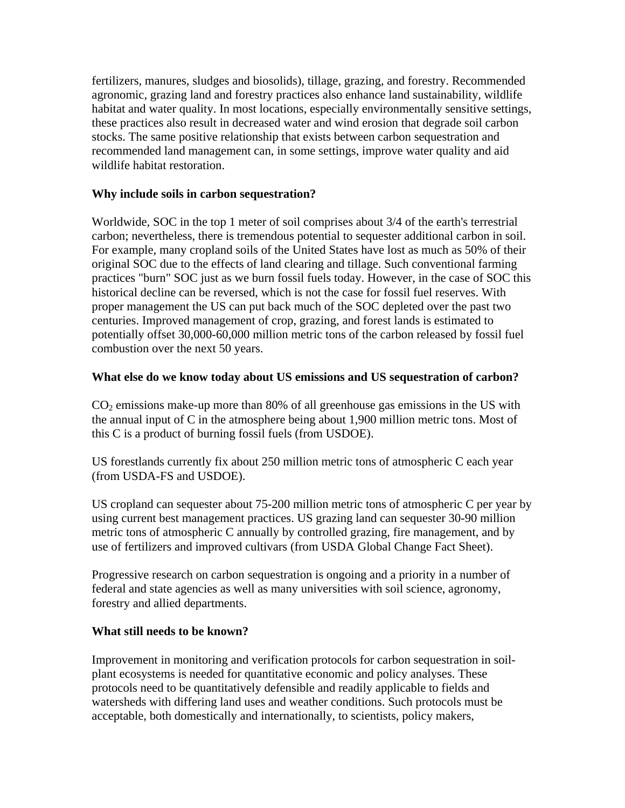fertilizers, manures, sludges and biosolids), tillage, grazing, and forestry. Recommended agronomic, grazing land and forestry practices also enhance land sustainability, wildlife habitat and water quality. In most locations, especially environmentally sensitive settings, these practices also result in decreased water and wind erosion that degrade soil carbon stocks. The same positive relationship that exists between carbon sequestration and recommended land management can, in some settings, improve water quality and aid wildlife habitat restoration.

### **Why include soils in carbon sequestration?**

Worldwide, SOC in the top 1 meter of soil comprises about 3/4 of the earth's terrestrial carbon; nevertheless, there is tremendous potential to sequester additional carbon in soil. For example, many cropland soils of the United States have lost as much as 50% of their original SOC due to the effects of land clearing and tillage. Such conventional farming practices "burn" SOC just as we burn fossil fuels today. However, in the case of SOC this historical decline can be reversed, which is not the case for fossil fuel reserves. With proper management the US can put back much of the SOC depleted over the past two centuries. Improved management of crop, grazing, and forest lands is estimated to potentially offset 30,000-60,000 million metric tons of the carbon released by fossil fuel combustion over the next 50 years.

# **What else do we know today about US emissions and US sequestration of carbon?**

 $CO<sub>2</sub>$  emissions make-up more than 80% of all greenhouse gas emissions in the US with the annual input of C in the atmosphere being about 1,900 million metric tons. Most of this C is a product of burning fossil fuels (from USDOE).

US forestlands currently fix about 250 million metric tons of atmospheric C each year (from USDA-FS and USDOE).

US cropland can sequester about 75-200 million metric tons of atmospheric C per year by using current best management practices. US grazing land can sequester 30-90 million metric tons of atmospheric C annually by controlled grazing, fire management, and by use of fertilizers and improved cultivars (from USDA Global Change Fact Sheet).

Progressive research on carbon sequestration is ongoing and a priority in a number of federal and state agencies as well as many universities with soil science, agronomy, forestry and allied departments.

# **What still needs to be known?**

Improvement in monitoring and verification protocols for carbon sequestration in soilplant ecosystems is needed for quantitative economic and policy analyses. These protocols need to be quantitatively defensible and readily applicable to fields and watersheds with differing land uses and weather conditions. Such protocols must be acceptable, both domestically and internationally, to scientists, policy makers,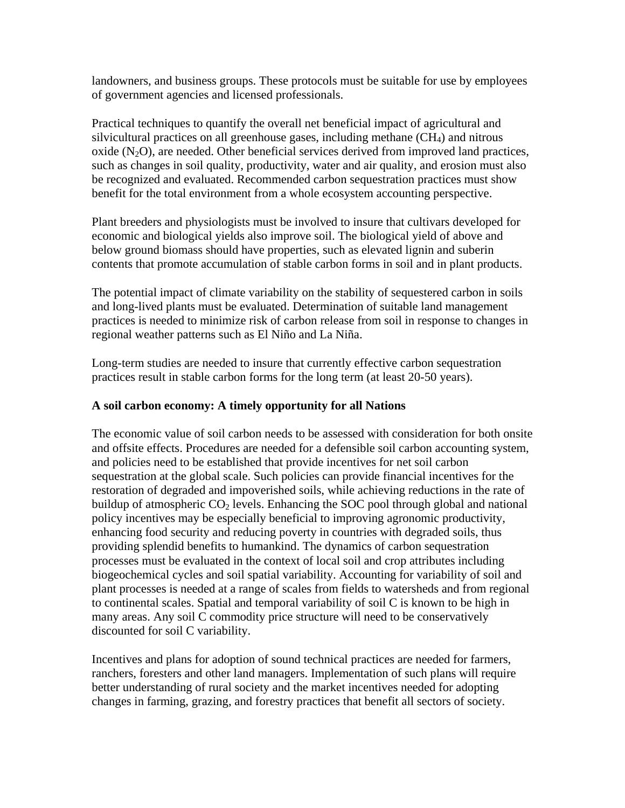landowners, and business groups. These protocols must be suitable for use by employees of government agencies and licensed professionals.

Practical techniques to quantify the overall net beneficial impact of agricultural and silvicultural practices on all greenhouse gases, including methane  $(CH<sub>4</sub>)$  and nitrous oxide  $(N_2O)$ , are needed. Other beneficial services derived from improved land practices, such as changes in soil quality, productivity, water and air quality, and erosion must also be recognized and evaluated. Recommended carbon sequestration practices must show benefit for the total environment from a whole ecosystem accounting perspective.

Plant breeders and physiologists must be involved to insure that cultivars developed for economic and biological yields also improve soil. The biological yield of above and below ground biomass should have properties, such as elevated lignin and suberin contents that promote accumulation of stable carbon forms in soil and in plant products.

The potential impact of climate variability on the stability of sequestered carbon in soils and long-lived plants must be evaluated. Determination of suitable land management practices is needed to minimize risk of carbon release from soil in response to changes in regional weather patterns such as El Niño and La Niña.

Long-term studies are needed to insure that currently effective carbon sequestration practices result in stable carbon forms for the long term (at least 20-50 years).

### **A soil carbon economy: A timely opportunity for all Nations**

The economic value of soil carbon needs to be assessed with consideration for both onsite and offsite effects. Procedures are needed for a defensible soil carbon accounting system, and policies need to be established that provide incentives for net soil carbon sequestration at the global scale. Such policies can provide financial incentives for the restoration of degraded and impoverished soils, while achieving reductions in the rate of buildup of atmospheric  $CO<sub>2</sub>$  levels. Enhancing the SOC pool through global and national policy incentives may be especially beneficial to improving agronomic productivity, enhancing food security and reducing poverty in countries with degraded soils, thus providing splendid benefits to humankind. The dynamics of carbon sequestration processes must be evaluated in the context of local soil and crop attributes including biogeochemical cycles and soil spatial variability. Accounting for variability of soil and plant processes is needed at a range of scales from fields to watersheds and from regional to continental scales. Spatial and temporal variability of soil C is known to be high in many areas. Any soil C commodity price structure will need to be conservatively discounted for soil C variability.

Incentives and plans for adoption of sound technical practices are needed for farmers, ranchers, foresters and other land managers. Implementation of such plans will require better understanding of rural society and the market incentives needed for adopting changes in farming, grazing, and forestry practices that benefit all sectors of society.